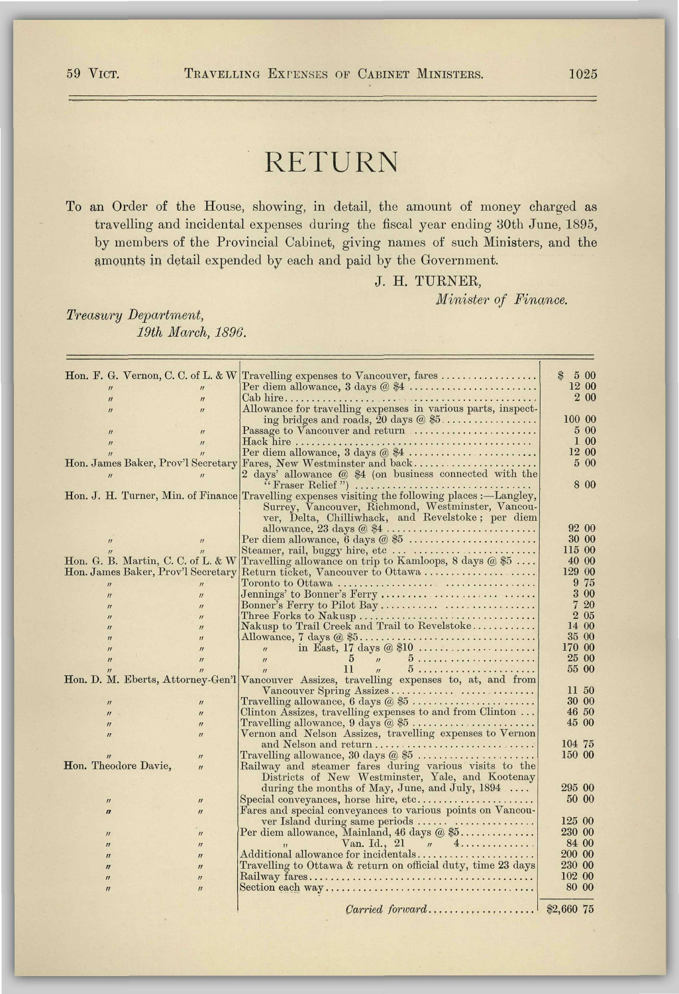## RETURN

To an Order of the House, showing, in detail, the amount of money charged as travelling and incidental expenses during the fiscal year ending 80th June, 1895, by members of the Provincial Cabinet, giving names of such Ministers, and the amounts in detail expended by each and paid by the Government.

J. H. TURNER,

*Minister of Finance.* 

## *Treasury Department, 19th March, 1896.*

|                                                                        | Hon, F. G. Vernon, C. C. of L. & W Travelling expenses to Vancouver, fares                      | $\mathcal{B}$<br>5 00 |  |
|------------------------------------------------------------------------|-------------------------------------------------------------------------------------------------|-----------------------|--|
|                                                                        | Per diem allowance, $3 \text{ days} \ @ \$4 \dots \dots \dots \dots \dots \dots \dots$          | 12 00                 |  |
| $\mathbf{u}$<br>$\boldsymbol{\prime\prime}$                            |                                                                                                 | 2 00                  |  |
| $\mathbf{u}$<br>$\mathbf{u}$                                           | Allowance for travelling expenses in various parts, inspect-                                    |                       |  |
|                                                                        | ing bridges and roads, $\overline{20}$ days $\mathcal{O}$ \$5                                   | 100 00                |  |
| $\boldsymbol{\mathcal{U}}$<br>$\boldsymbol{\eta}$                      | Passage to Vancouver and return                                                                 | 5 00                  |  |
| $\boldsymbol{\eta}$<br>$\mathbf{U}$                                    |                                                                                                 | 1 00                  |  |
|                                                                        |                                                                                                 | 12 00                 |  |
| Hon. James Baker, Prov'l Secretary                                     | Fares, New Westminster and back                                                                 | $5\,00$               |  |
| $\prime\prime$                                                         | 2 days' allowance @ \$4 (on business connected with the                                         | 8 0 0                 |  |
|                                                                        | Hon. J. H. Turner, Min. of Finance Travelling expenses visiting the following places :—Langley, |                       |  |
|                                                                        | Surrey, Vancouver, Richmond, Westminster, Vancou-                                               |                       |  |
|                                                                        | ver, Delta, Chilliwhack, and Revelstoke; per diem                                               |                       |  |
|                                                                        | allowance, $23 \text{ days} \& 4 \ldots \ldots \ldots \ldots \ldots \ldots \ldots \ldots$       | 92 00                 |  |
| $\boldsymbol{\eta}$<br>$\boldsymbol{H}$                                | Per diem allowance, 6 days @ \$5                                                                | 30 00                 |  |
|                                                                        |                                                                                                 | 115 00                |  |
| Hon. G. B. Martin, C. C. of L. & W                                     | Travelling allowance on trip to Kamloops, 8 days $@$ \$5                                        | 40 00                 |  |
| Hon. James Baker, Prov'l Secretary                                     | Return ticket, Vancouver to Ottawa                                                              | 129 00                |  |
|                                                                        |                                                                                                 | 9 75                  |  |
| $\mathbf{u}$                                                           |                                                                                                 | 3 00                  |  |
| $\boldsymbol{\mathit{II}}$<br>$\overline{u}$                           |                                                                                                 | 720                   |  |
| $\boldsymbol{H}$<br>$\boldsymbol{H}$                                   |                                                                                                 | 2 05                  |  |
| $\boldsymbol{\prime\prime}$<br>$\boldsymbol{\eta}$<br>$\boldsymbol{H}$ | Nakusp to Trail Creek and Trail to Revelstoke                                                   | 14 00                 |  |
| $\boldsymbol{H}$<br>$\boldsymbol{H}$                                   | Allowance, $7 \text{ days} (a \text{ $5 \dots  \dots  \dots  \dots  \dots $                     | 35 00                 |  |
| $\mathbf{u}$<br>$\mathbf{u}$                                           | in East, 17 days @ \$10<br>$\mathbf{u}$                                                         | 170 00                |  |
| $\boldsymbol{\eta}$<br>$\boldsymbol{\eta}$                             | $5 \frac{1}{2}$<br>$\mathbf{u}$                                                                 | 25 00                 |  |
|                                                                        | 11<br>$\overline{u}$                                                                            | 55 00                 |  |
|                                                                        | Hon. D. M. Eberts, Attorney-Gen'l Vancouver Assizes, travelling expenses to, at, and from       |                       |  |
|                                                                        | Vancouver Spring Assizes                                                                        | 11 50                 |  |
| $\boldsymbol{\mathsf{II}}$<br>$\boldsymbol{\eta}$                      | Travelling allowance, $6 \text{ days} \ @ \ $5 \dots \dots \dots \dots \dots \dots \dots$       | 30 00                 |  |
| $\boldsymbol{H}$<br>$\boldsymbol{\eta}$                                | Clinton Assizes, travelling expenses to and from Clinton                                        | 46 50                 |  |
| $\boldsymbol{\eta}$<br>$\boldsymbol{\eta}$                             | Travelling allowance, $9 \text{ days} \& 5 \dots \dots \dots \dots \dots \dots$                 | 45 00                 |  |
| $\boldsymbol{\mathsf{II}}$<br>$\boldsymbol{\eta}$                      | Vernon and Nelson Assizes, travelling expenses to Vernon                                        |                       |  |
|                                                                        | and Nelson and return                                                                           | 104 75                |  |
| $\boldsymbol{\prime\prime}$                                            | Travelling allowance, 30 days @ \$5                                                             | 150 00                |  |
| Hon. Theodore Davie,<br>$\mathbf{u}$                                   | Railway and steamer fares during various visits to the                                          |                       |  |
|                                                                        | Districts of New Westminster, Yale, and Kootenay                                                |                       |  |
|                                                                        | during the months of May, June, and July, $1894$                                                | 295 00                |  |
| $\boldsymbol{\eta}$<br>$\boldsymbol{\eta}$                             | Special conveyances, horse hire, etc                                                            | 50 00                 |  |
| $\boldsymbol{v}$<br>$\boldsymbol{u}$                                   | Fares and special conveyances to various points on Vancou-                                      |                       |  |
|                                                                        | ver Island during same periods                                                                  | 125 00                |  |
| $\boldsymbol{\eta}$<br>$\boldsymbol{\mathcal{U}}$                      | Per diem allowance, Mainland, 46 days @ \$5                                                     | 230 00                |  |
| $\eta$<br>$\boldsymbol{H}$                                             | Van. Id., 21 $\pi$ 4                                                                            | 84 00                 |  |
| $\boldsymbol{\eta}$<br>$\boldsymbol{\eta}$                             | Additional allowance for incidentals                                                            | 200 00                |  |
| $\boldsymbol{\eta}$<br>$\boldsymbol{\mathcal{U}}$                      | Travelling to Ottawa & return on official duty, time 23 days                                    | 230 00                |  |
| $\boldsymbol{\eta}$<br>$\boldsymbol{\prime\prime}$                     |                                                                                                 | 102 00                |  |
| $\boldsymbol{\eta}$<br>$\mathbf{u}$                                    |                                                                                                 | 80 00                 |  |
|                                                                        |                                                                                                 |                       |  |